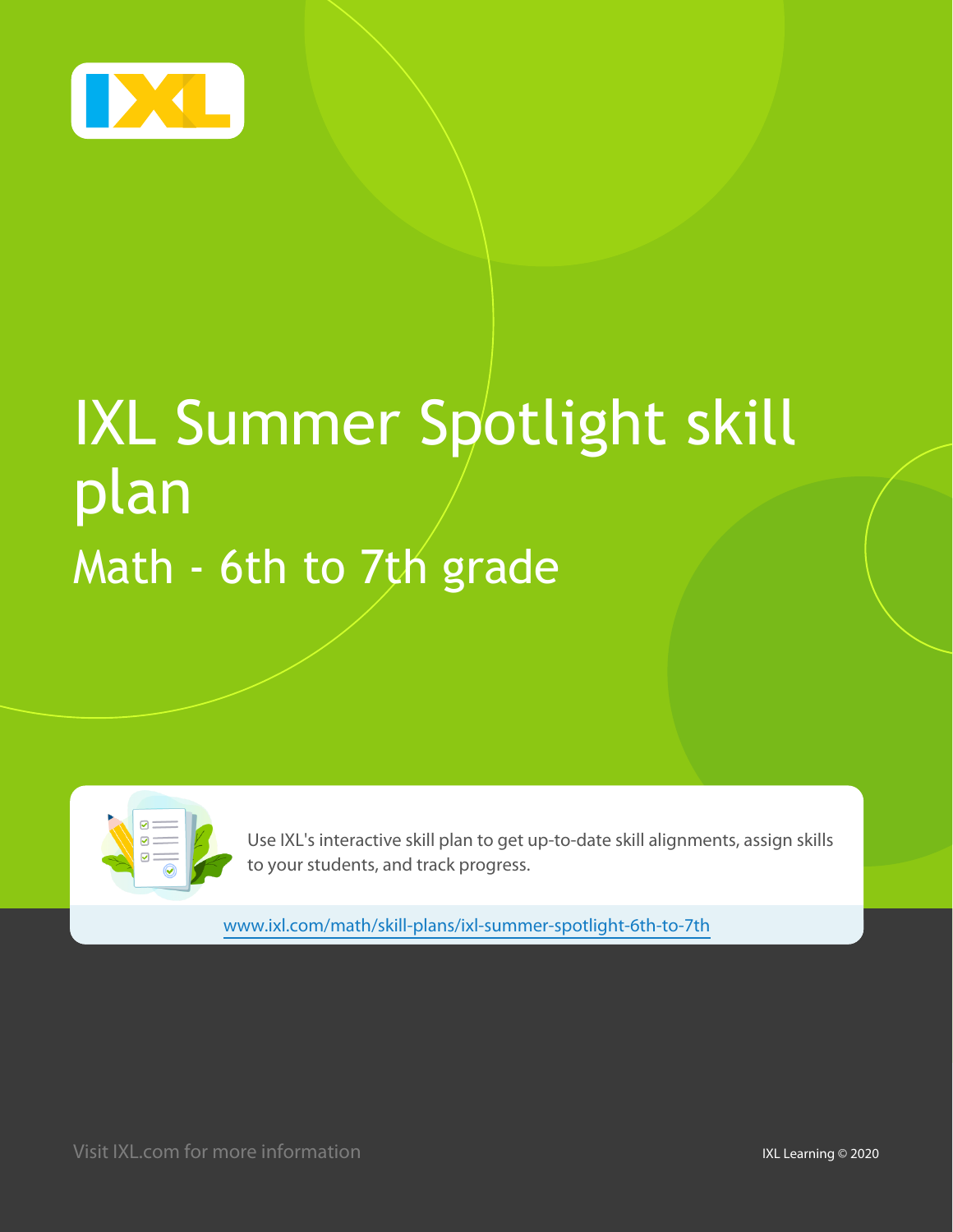

# IXL Summer Spotlight skill plan Math - 6th to 7th grade

Use IXL's interactive skill plan to get up-to-date skill alignments, assign skills to your students, and track progress.

[www.ixl.com/math/skill-plans/ixl-summer-spotlight-6th-to-7th](http://www.ixl.com/math/skill-plans/ixl-summer-spotlight-6th-to-7th)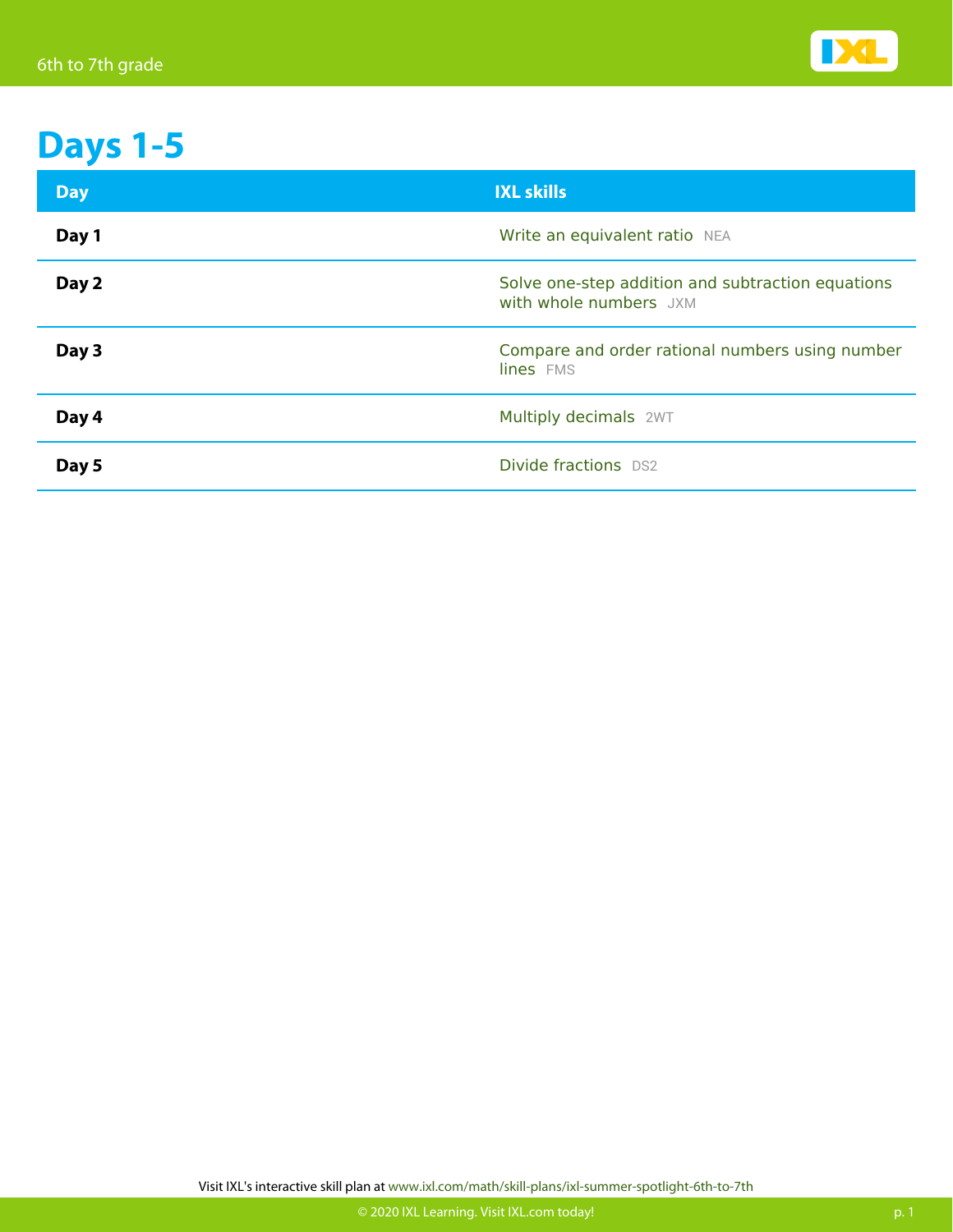

## **Days 1-5**

| <b>Day</b> | <b>IXL skills</b>                                                           |
|------------|-----------------------------------------------------------------------------|
| Day 1      | Write an equivalent ratio NEA                                               |
| Day 2      | Solve one-step addition and subtraction equations<br>with whole numbers JXM |
| Day 3      | Compare and order rational numbers using number<br>lines FMS                |
| Day 4      | Multiply decimals 2WT                                                       |
| Day 5      | Divide fractions DS2                                                        |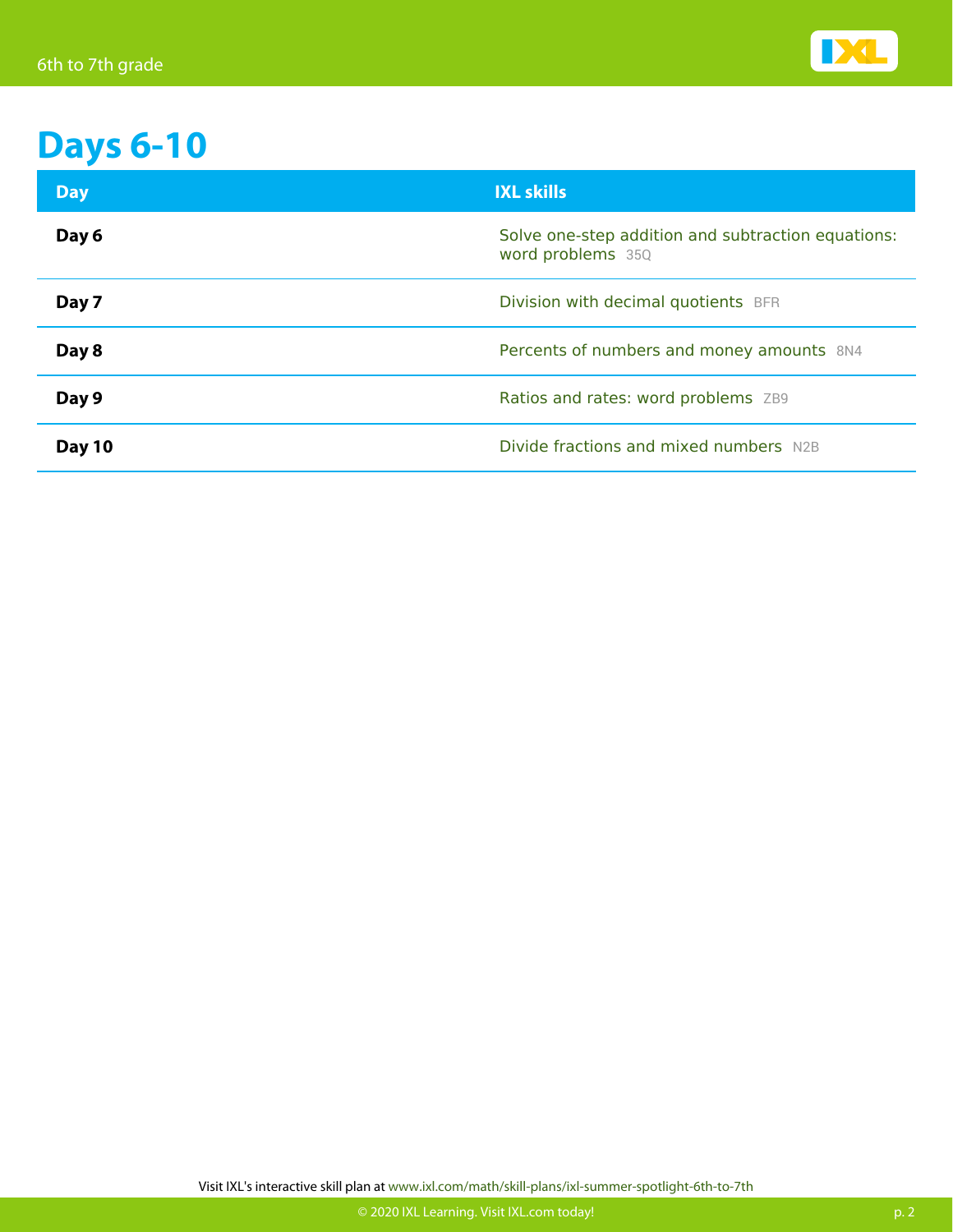

#### **Days 6-10**

| <b>Day</b> | <b>IXL skills</b>                                                       |
|------------|-------------------------------------------------------------------------|
| Day 6      | Solve one-step addition and subtraction equations:<br>word problems 35Q |
| Day 7      | Division with decimal quotients BFR                                     |
| Day 8      | Percents of numbers and money amounts 8N4                               |
| Day 9      | Ratios and rates: word problems ZB9                                     |
| Day 10     | Divide fractions and mixed numbers N2B                                  |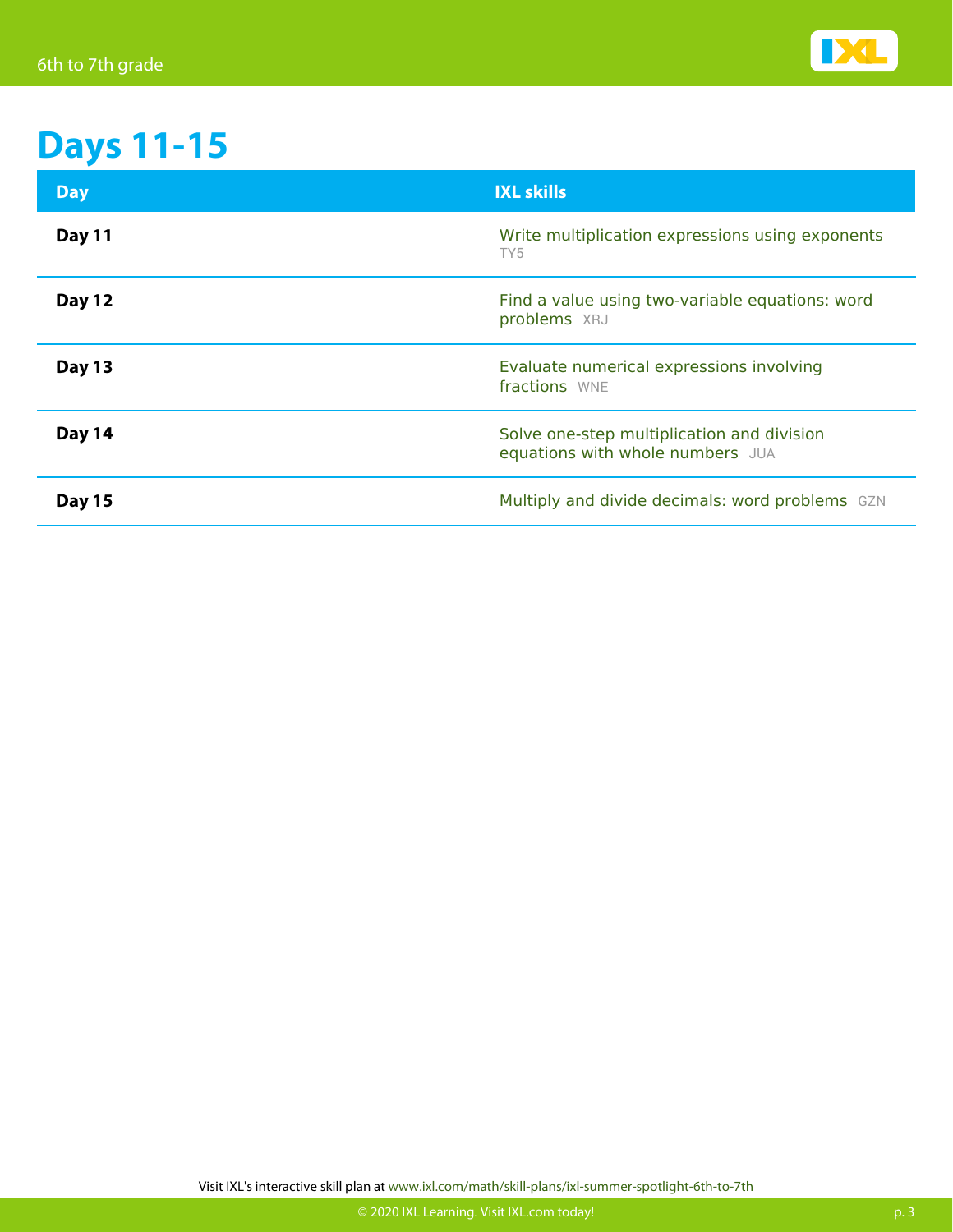

## **Days 11-15**

| <b>Day</b>    | <b>IXL skills</b>                                                              |
|---------------|--------------------------------------------------------------------------------|
| <b>Day 11</b> | Write multiplication expressions using exponents<br>TY <sub>5</sub>            |
| <b>Day 12</b> | Find a value using two-variable equations: word<br>problems XRJ                |
| <b>Day 13</b> | Evaluate numerical expressions involving<br>fractions WNE                      |
| Day 14        | Solve one-step multiplication and division<br>equations with whole numbers JUA |
| <b>Day 15</b> | Multiply and divide decimals: word problems GZN                                |